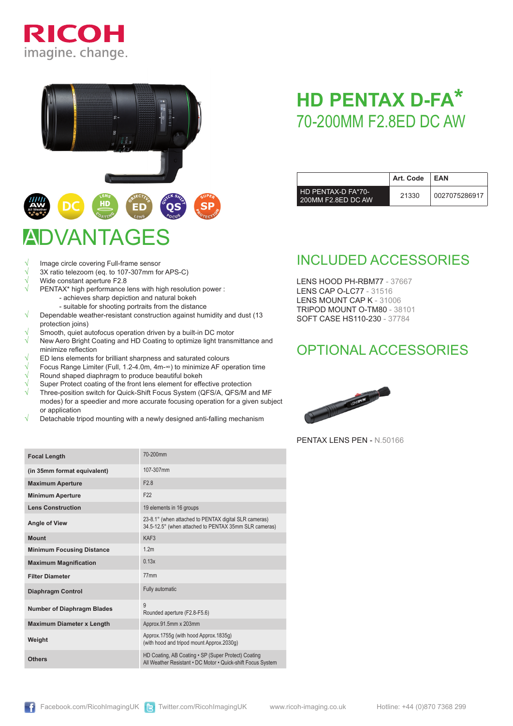



# ADVANTAGES

- Image circle covering Full-frame sensor
- 3X ratio telezoom (eq. to 107-307mm for APS-C)
- Wide constant aperture F2.8
	- PENTAX\* high performance lens with high resolution power : - achieves sharp depiction and natural bokeh
		- suitable for shooting portraits from the distance
- √ Dependable weather-resistant construction against humidity and dust (13 protection joins)
- Smooth, quiet autofocus operation driven by a built-in DC motor
- New Aero Bright Coating and HD Coating to optimize light transmittance and minimize reflection
- ED lens elements for brilliant sharpness and saturated colours
- √ Focus Range Limiter (Full, 1.2-4.0m, 4m-∞) to minimize AF operation time
- Round shaped diaphragm to produce beautiful bokeh
- Super Protect coating of the front lens element for effective protection
- Three-position switch for Quick-Shift Focus System (QFS/A, QFS/M and MF modes) for a speedier and more accurate focusing operation for a given subject or application
- Detachable tripod mounting with a newly designed anti-falling mechanism

| <b>Focal Length</b>               | 70-200mm                                                                                                           |  |  |
|-----------------------------------|--------------------------------------------------------------------------------------------------------------------|--|--|
| (in 35mm format equivalent)       | 107-307mm                                                                                                          |  |  |
| <b>Maximum Aperture</b>           | F <sub>2.8</sub>                                                                                                   |  |  |
| <b>Minimum Aperture</b>           | F <sub>22</sub>                                                                                                    |  |  |
| <b>Lens Construction</b>          | 19 elements in 16 groups                                                                                           |  |  |
| <b>Angle of View</b>              | 23-8.1° (when attached to PENTAX digital SLR cameras)<br>34.5-12.5° (when attached to PENTAX 35mm SLR cameras)     |  |  |
| <b>Mount</b>                      | KAF3                                                                                                               |  |  |
| <b>Minimum Focusing Distance</b>  | 1.2 <sub>m</sub>                                                                                                   |  |  |
| <b>Maximum Magnification</b>      | 0.13x                                                                                                              |  |  |
| <b>Filter Diameter</b>            | 77 <sub>mm</sub>                                                                                                   |  |  |
| <b>Diaphragm Control</b>          | Fully automatic                                                                                                    |  |  |
| <b>Number of Diaphragm Blades</b> | 9<br>Rounded aperture (F2.8-F5.6)                                                                                  |  |  |
| <b>Maximum Diameter x Length</b>  | Approx.91.5mm x 203mm                                                                                              |  |  |
| Weight                            | Approx.1755g (with hood Approx.1835g)<br>(with hood and tripod mount Approx.2030q)                                 |  |  |
| <b>Others</b>                     | HD Coating, AB Coating . SP (Super Protect) Coating<br>All Weather Resistant . DC Motor . Quick-shift Focus System |  |  |

## **HD PENTAX D-FA\*** 70-200mm F2.8ED DC AW

|                                          | Art. Code | EAN           |
|------------------------------------------|-----------|---------------|
| HD PENTAX-D FA*70-<br>200MM F2.8ED DC AW | 21330     | 0027075286917 |

### INCLUDED ACCESSORIES

LENS HOOD PH-RBM77 - 37667 LENS CAP O-LC77 - 31516 LENS MOUNT CAP K - 31006 TRIPOD MOUNT O-TM80 - 38101 SOFT CASE HS110-230 - 37784

### OPTIONAL ACCESSORIES



PENTAX LENS PEN - N.50166